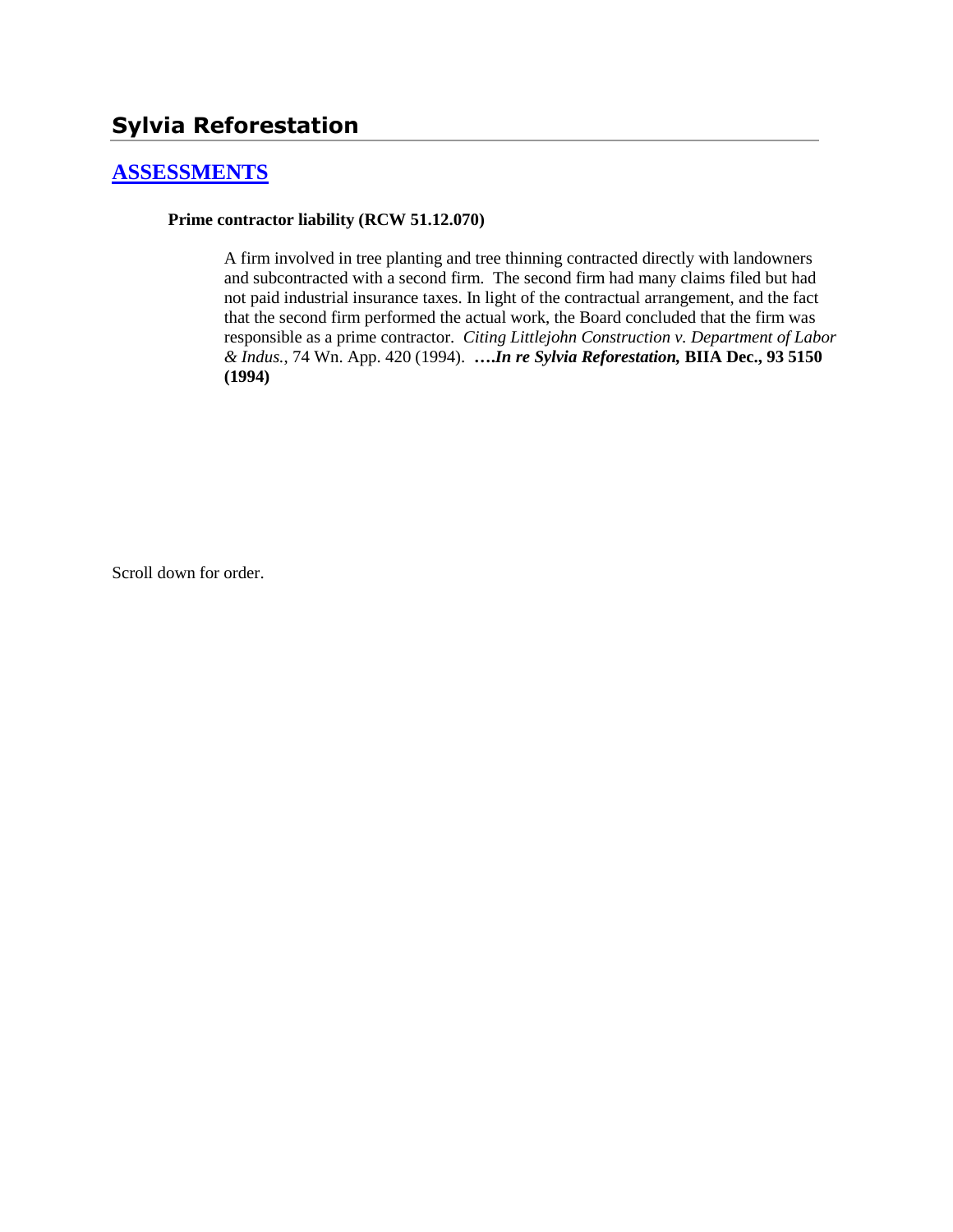### **[ASSESSMENTS](http://www.biia.wa.gov/SDSubjectIndex.html#ASSESSMENTS)**

#### **Prime contractor liability (RCW 51.12.070)**

A firm involved in tree planting and tree thinning contracted directly with landowners and subcontracted with a second firm. The second firm had many claims filed but had not paid industrial insurance taxes. In light of the contractual arrangement, and the fact that the second firm performed the actual work, the Board concluded that the firm was responsible as a prime contractor*. Citing Littlejohn Construction v. Department of Labor & Indus.*, 74 Wn. App. 420 (1994). **….***In re Sylvia Reforestation,* **BIIA Dec., 93 5150 (1994)**

Scroll down for order.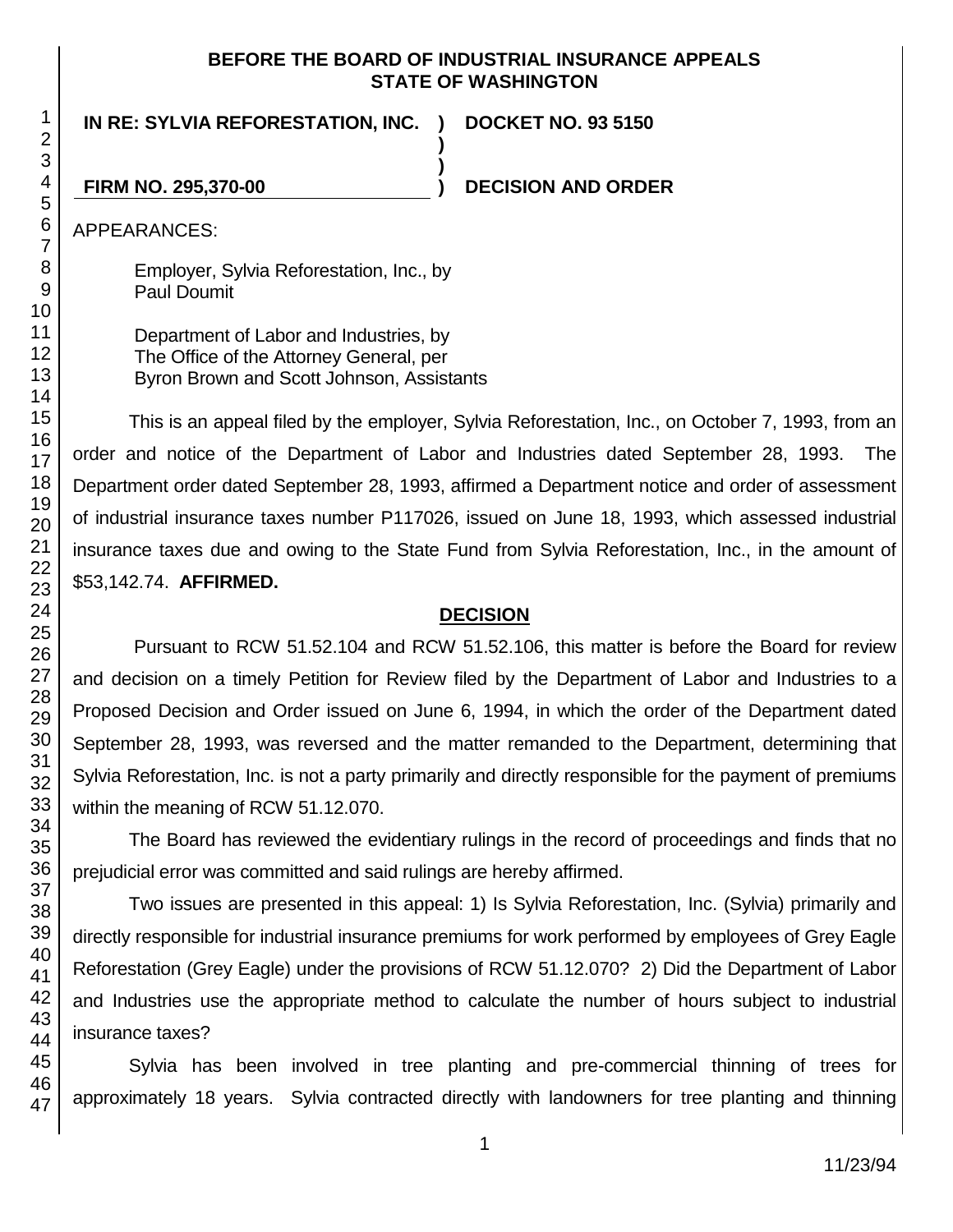#### **BEFORE THE BOARD OF INDUSTRIAL INSURANCE APPEALS STATE OF WASHINGTON**

**)**

**)**

**IN RE: SYLVIA REFORESTATION, INC. )**

**DOCKET NO. 93 5150**

**FIRM NO. 295,370-00 ) DECISION AND ORDER**

APPEARANCES:

Employer, Sylvia Reforestation, Inc., by Paul Doumit

Department of Labor and Industries, by The Office of the Attorney General, per Byron Brown and Scott Johnson, Assistants

This is an appeal filed by the employer, Sylvia Reforestation, Inc., on October 7, 1993, from an order and notice of the Department of Labor and Industries dated September 28, 1993. The Department order dated September 28, 1993, affirmed a Department notice and order of assessment of industrial insurance taxes number P117026, issued on June 18, 1993, which assessed industrial insurance taxes due and owing to the State Fund from Sylvia Reforestation, Inc., in the amount of \$53,142.74. **AFFIRMED.**

# **DECISION**

Pursuant to RCW 51.52.104 and RCW 51.52.106, this matter is before the Board for review and decision on a timely Petition for Review filed by the Department of Labor and Industries to a Proposed Decision and Order issued on June 6, 1994, in which the order of the Department dated September 28, 1993, was reversed and the matter remanded to the Department, determining that Sylvia Reforestation, Inc. is not a party primarily and directly responsible for the payment of premiums within the meaning of RCW 51.12.070.

The Board has reviewed the evidentiary rulings in the record of proceedings and finds that no prejudicial error was committed and said rulings are hereby affirmed.

Two issues are presented in this appeal: 1) Is Sylvia Reforestation, Inc. (Sylvia) primarily and directly responsible for industrial insurance premiums for work performed by employees of Grey Eagle Reforestation (Grey Eagle) under the provisions of RCW 51.12.070? 2) Did the Department of Labor and Industries use the appropriate method to calculate the number of hours subject to industrial insurance taxes?

Sylvia has been involved in tree planting and pre-commercial thinning of trees for approximately 18 years. Sylvia contracted directly with landowners for tree planting and thinning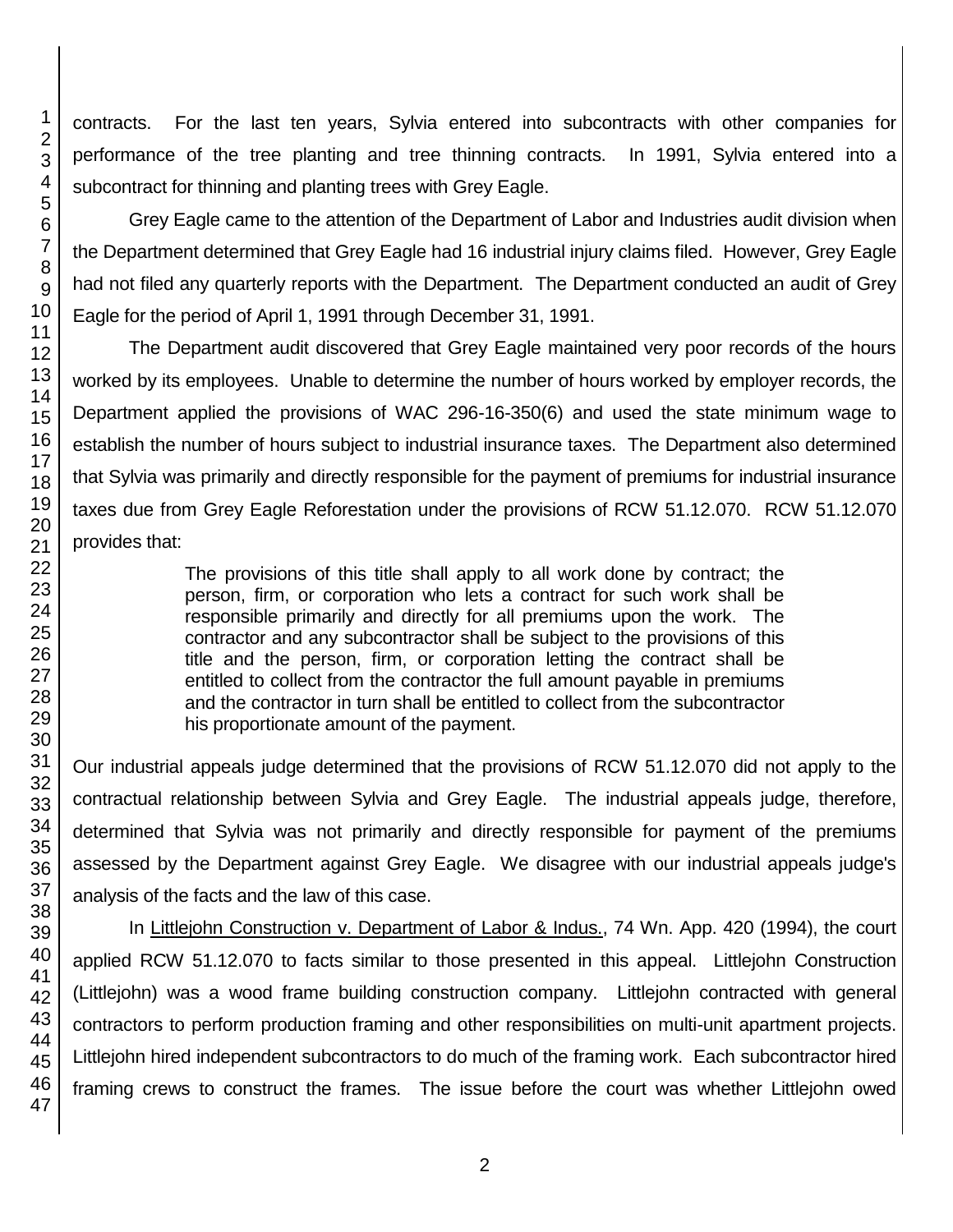contracts. For the last ten years, Sylvia entered into subcontracts with other companies for performance of the tree planting and tree thinning contracts. In 1991, Sylvia entered into a subcontract for thinning and planting trees with Grey Eagle.

Grey Eagle came to the attention of the Department of Labor and Industries audit division when the Department determined that Grey Eagle had 16 industrial injury claims filed. However, Grey Eagle had not filed any quarterly reports with the Department. The Department conducted an audit of Grey Eagle for the period of April 1, 1991 through December 31, 1991.

The Department audit discovered that Grey Eagle maintained very poor records of the hours worked by its employees. Unable to determine the number of hours worked by employer records, the Department applied the provisions of WAC 296-16-350(6) and used the state minimum wage to establish the number of hours subject to industrial insurance taxes. The Department also determined that Sylvia was primarily and directly responsible for the payment of premiums for industrial insurance taxes due from Grey Eagle Reforestation under the provisions of RCW 51.12.070. RCW 51.12.070 provides that:

> The provisions of this title shall apply to all work done by contract; the person, firm, or corporation who lets a contract for such work shall be responsible primarily and directly for all premiums upon the work. The contractor and any subcontractor shall be subject to the provisions of this title and the person, firm, or corporation letting the contract shall be entitled to collect from the contractor the full amount payable in premiums and the contractor in turn shall be entitled to collect from the subcontractor his proportionate amount of the payment.

Our industrial appeals judge determined that the provisions of RCW 51.12.070 did not apply to the contractual relationship between Sylvia and Grey Eagle. The industrial appeals judge, therefore, determined that Sylvia was not primarily and directly responsible for payment of the premiums assessed by the Department against Grey Eagle. We disagree with our industrial appeals judge's analysis of the facts and the law of this case.

In Littlejohn Construction v. Department of Labor & Indus., 74 Wn. App. 420 (1994), the court applied RCW 51.12.070 to facts similar to those presented in this appeal. Littlejohn Construction (Littlejohn) was a wood frame building construction company. Littlejohn contracted with general contractors to perform production framing and other responsibilities on multi-unit apartment projects. Littlejohn hired independent subcontractors to do much of the framing work. Each subcontractor hired framing crews to construct the frames. The issue before the court was whether Littlejohn owed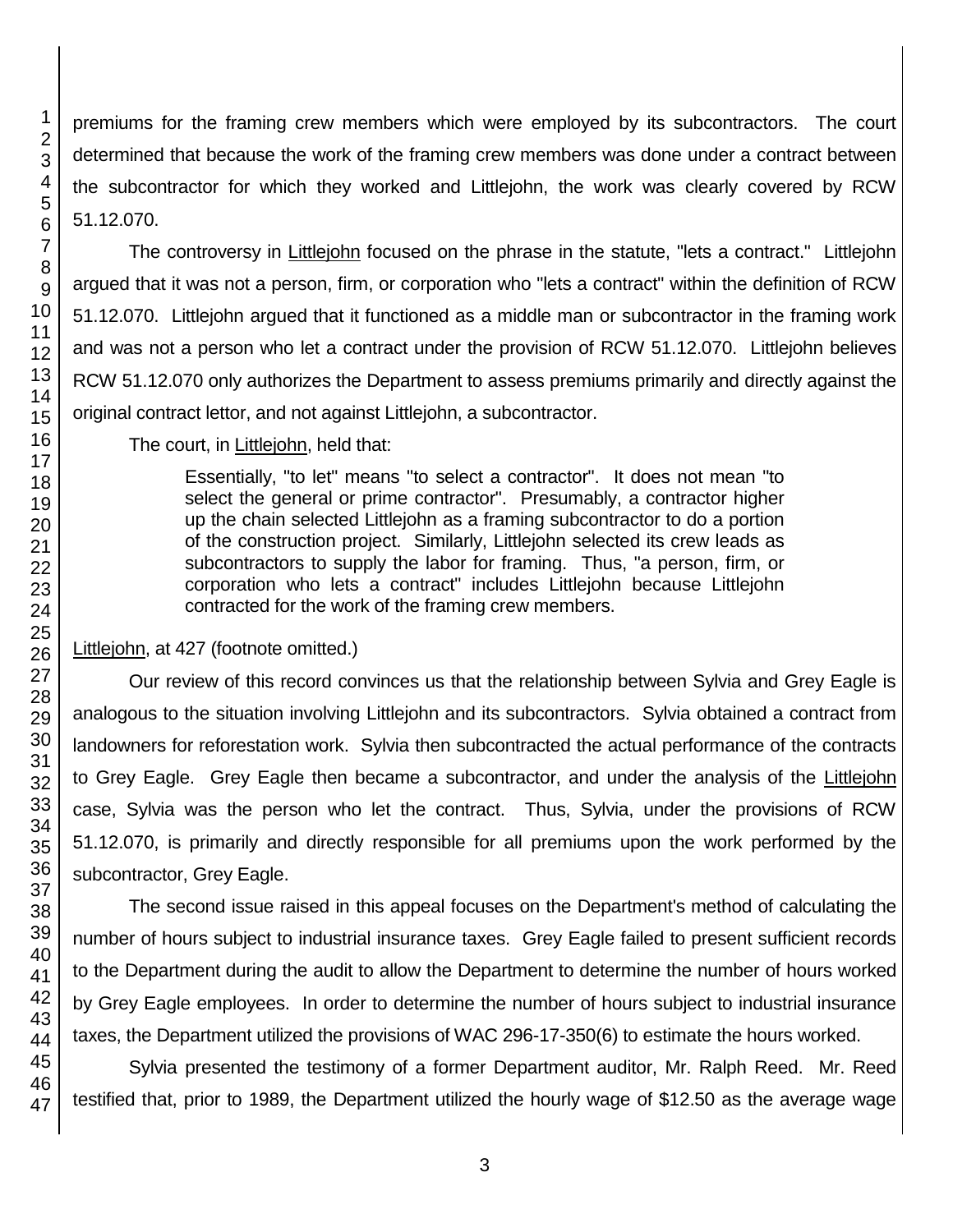premiums for the framing crew members which were employed by its subcontractors. The court determined that because the work of the framing crew members was done under a contract between the subcontractor for which they worked and Littlejohn, the work was clearly covered by RCW 51.12.070.

The controversy in Littlejohn focused on the phrase in the statute, "lets a contract." Littlejohn argued that it was not a person, firm, or corporation who "lets a contract" within the definition of RCW 51.12.070. Littlejohn argued that it functioned as a middle man or subcontractor in the framing work and was not a person who let a contract under the provision of RCW 51.12.070. Littlejohn believes RCW 51.12.070 only authorizes the Department to assess premiums primarily and directly against the original contract lettor, and not against Littlejohn, a subcontractor.

The court, in Littlejohn, held that:

Essentially, "to let" means "to select a contractor". It does not mean "to select the general or prime contractor". Presumably, a contractor higher up the chain selected Littlejohn as a framing subcontractor to do a portion of the construction project. Similarly, Littlejohn selected its crew leads as subcontractors to supply the labor for framing. Thus, "a person, firm, or corporation who lets a contract" includes Littlejohn because Littlejohn contracted for the work of the framing crew members.

# Littlejohn, at 427 (footnote omitted.)

Our review of this record convinces us that the relationship between Sylvia and Grey Eagle is analogous to the situation involving Littlejohn and its subcontractors. Sylvia obtained a contract from landowners for reforestation work. Sylvia then subcontracted the actual performance of the contracts to Grey Eagle. Grey Eagle then became a subcontractor, and under the analysis of the Littlejohn case, Sylvia was the person who let the contract. Thus, Sylvia, under the provisions of RCW 51.12.070, is primarily and directly responsible for all premiums upon the work performed by the subcontractor, Grey Eagle.

The second issue raised in this appeal focuses on the Department's method of calculating the number of hours subject to industrial insurance taxes. Grey Eagle failed to present sufficient records to the Department during the audit to allow the Department to determine the number of hours worked by Grey Eagle employees. In order to determine the number of hours subject to industrial insurance taxes, the Department utilized the provisions of WAC 296-17-350(6) to estimate the hours worked.

Sylvia presented the testimony of a former Department auditor, Mr. Ralph Reed. Mr. Reed testified that, prior to 1989, the Department utilized the hourly wage of \$12.50 as the average wage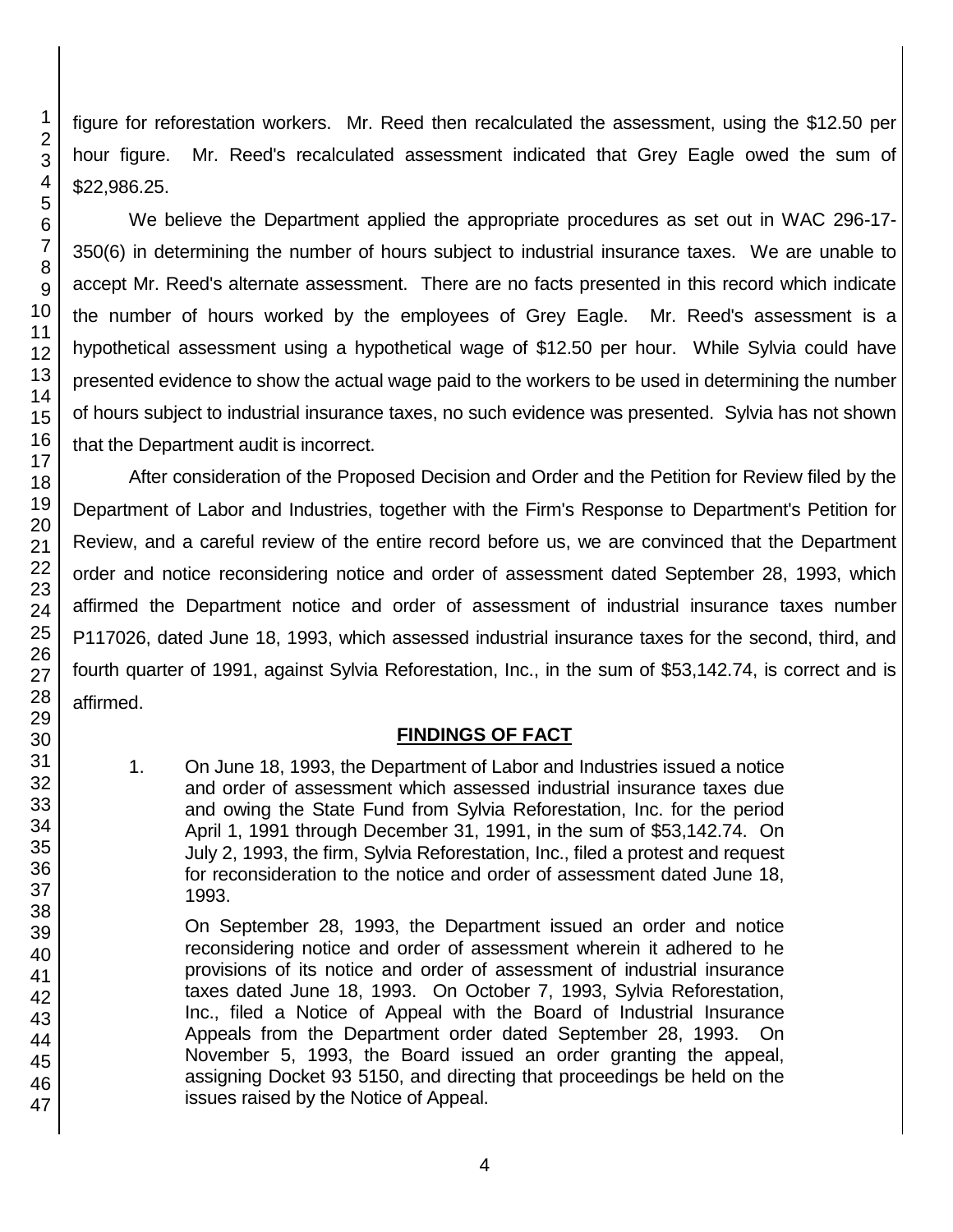figure for reforestation workers. Mr. Reed then recalculated the assessment, using the \$12.50 per hour figure. Mr. Reed's recalculated assessment indicated that Grey Eagle owed the sum of \$22,986.25.

We believe the Department applied the appropriate procedures as set out in WAC 296-17- 350(6) in determining the number of hours subject to industrial insurance taxes. We are unable to accept Mr. Reed's alternate assessment. There are no facts presented in this record which indicate the number of hours worked by the employees of Grey Eagle. Mr. Reed's assessment is a hypothetical assessment using a hypothetical wage of \$12.50 per hour. While Sylvia could have presented evidence to show the actual wage paid to the workers to be used in determining the number of hours subject to industrial insurance taxes, no such evidence was presented. Sylvia has not shown that the Department audit is incorrect.

After consideration of the Proposed Decision and Order and the Petition for Review filed by the Department of Labor and Industries, together with the Firm's Response to Department's Petition for Review, and a careful review of the entire record before us, we are convinced that the Department order and notice reconsidering notice and order of assessment dated September 28, 1993, which affirmed the Department notice and order of assessment of industrial insurance taxes number P117026, dated June 18, 1993, which assessed industrial insurance taxes for the second, third, and fourth quarter of 1991, against Sylvia Reforestation, Inc., in the sum of \$53,142.74, is correct and is affirmed.

# **FINDINGS OF FACT**

1. On June 18, 1993, the Department of Labor and Industries issued a notice and order of assessment which assessed industrial insurance taxes due and owing the State Fund from Sylvia Reforestation, Inc. for the period April 1, 1991 through December 31, 1991, in the sum of \$53,142.74. On July 2, 1993, the firm, Sylvia Reforestation, Inc., filed a protest and request for reconsideration to the notice and order of assessment dated June 18, 1993.

On September 28, 1993, the Department issued an order and notice reconsidering notice and order of assessment wherein it adhered to he provisions of its notice and order of assessment of industrial insurance taxes dated June 18, 1993. On October 7, 1993, Sylvia Reforestation, Inc., filed a Notice of Appeal with the Board of Industrial Insurance Appeals from the Department order dated September 28, 1993. On November 5, 1993, the Board issued an order granting the appeal, assigning Docket 93 5150, and directing that proceedings be held on the issues raised by the Notice of Appeal.

1